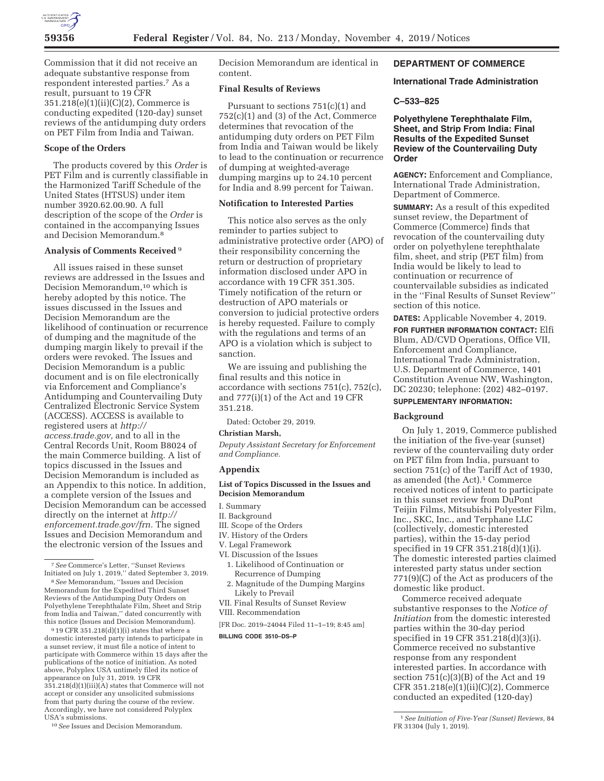

Commission that it did not receive an adequate substantive response from respondent interested parties.7 As a result, pursuant to 19 CFR 351.218(e)(1)(ii)(C)(2), Commerce is conducting expedited (120-day) sunset reviews of the antidumping duty orders on PET Film from India and Taiwan.

# **Scope of the Orders**

The products covered by this *Order* is PET Film and is currently classifiable in the Harmonized Tariff Schedule of the United States (HTSUS) under item number 3920.62.00.90. A full description of the scope of the *Order* is contained in the accompanying Issues and Decision Memorandum.8

## **Analysis of Comments Received** 9

All issues raised in these sunset reviews are addressed in the Issues and Decision Memorandum,<sup>10</sup> which is hereby adopted by this notice. The issues discussed in the Issues and Decision Memorandum are the likelihood of continuation or recurrence of dumping and the magnitude of the dumping margin likely to prevail if the orders were revoked. The Issues and Decision Memorandum is a public document and is on file electronically via Enforcement and Compliance's Antidumping and Countervailing Duty Centralized Electronic Service System (ACCESS). ACCESS is available to registered users at *http:// access.trade.gov,* and to all in the Central Records Unit, Room B8024 of the main Commerce building. A list of topics discussed in the Issues and Decision Memorandum is included as an Appendix to this notice. In addition, a complete version of the Issues and Decision Memorandum can be accessed directly on the internet at *http:// enforcement.trade.gov/frn.* The signed Issues and Decision Memorandum and the electronic version of the Issues and

 $919$  CFR 351.218(d)(1)(i) states that where a domestic interested party intends to participate in a sunset review, it must file a notice of intent to participate with Commerce within 15 days after the publications of the notice of initiation. As noted above, Polyplex USA untimely filed its notice of appearance on July 31, 2019. 19 CFR 351.218(d)(1)(iii)(A) states that Commerce will not accept or consider any unsolicited submissions from that party during the course of the review. Accordingly, we have not considered Polyplex USA's submissions.

10*See* Issues and Decision Memorandum.

Decision Memorandum are identical in content.

# **Final Results of Reviews**

Pursuant to sections 751(c)(1) and  $752(c)(1)$  and  $(3)$  of the Act, Commerce determines that revocation of the antidumping duty orders on PET Film from India and Taiwan would be likely to lead to the continuation or recurrence of dumping at weighted-average dumping margins up to 24.10 percent for India and 8.99 percent for Taiwan.

# **Notification to Interested Parties**

This notice also serves as the only reminder to parties subject to administrative protective order (APO) of their responsibility concerning the return or destruction of proprietary information disclosed under APO in accordance with 19 CFR 351.305. Timely notification of the return or destruction of APO materials or conversion to judicial protective orders is hereby requested. Failure to comply with the regulations and terms of an APO is a violation which is subject to sanction.

We are issuing and publishing the final results and this notice in accordance with sections 751(c), 752(c), and 777(i)(1) of the Act and 19 CFR 351.218.

Dated: October 29, 2019.

# **Christian Marsh,**

*Deputy Assistant Secretary for Enforcement and Compliance.* 

# **Appendix**

# **List of Topics Discussed in the Issues and Decision Memorandum**

- I. Summary
- II. Background
- III. Scope of the Orders
- IV. History of the Orders
- V. Legal Framework
- VI. Discussion of the Issues 1. Likelihood of Continuation or Recurrence of Dumping
- 2. Magnitude of the Dumping Margins Likely to Prevail
- VII. Final Results of Sunset Review
- VIII. Recommendation

[FR Doc. 2019–24044 Filed 11–1–19; 8:45 am]

**BILLING CODE 3510–DS–P** 

# **DEPARTMENT OF COMMERCE**

# **International Trade Administration**

**C–533–825** 

# **Polyethylene Terephthalate Film, Sheet, and Strip From India: Final Results of the Expedited Sunset Review of the Countervailing Duty Order**

**AGENCY:** Enforcement and Compliance, International Trade Administration, Department of Commerce.

**SUMMARY:** As a result of this expedited sunset review, the Department of Commerce (Commerce) finds that revocation of the countervailing duty order on polyethylene terephthalate film, sheet, and strip (PET film) from India would be likely to lead to continuation or recurrence of countervailable subsidies as indicated in the ''Final Results of Sunset Review'' section of this notice.

**DATES:** Applicable November 4, 2019.

**FOR FURTHER INFORMATION CONTACT:** Elfi Blum, AD/CVD Operations, Office VII, Enforcement and Compliance, International Trade Administration, U.S. Department of Commerce, 1401 Constitution Avenue NW, Washington, DC 20230; telephone: (202) 482–0197.

# **SUPPLEMENTARY INFORMATION:**

#### **Background**

On July 1, 2019, Commerce published the initiation of the five-year (sunset) review of the countervailing duty order on PET film from India, pursuant to section 751(c) of the Tariff Act of 1930, as amended (the Act).1 Commerce received notices of intent to participate in this sunset review from DuPont Teijin Films, Mitsubishi Polyester Film, Inc., SKC, Inc., and Terphane LLC (collectively, domestic interested parties), within the 15-day period specified in 19 CFR 351.218(d)(1)(i). The domestic interested parties claimed interested party status under section 771(9)(C) of the Act as producers of the domestic like product.

Commerce received adequate substantive responses to the *Notice of Initiation* from the domestic interested parties within the 30-day period specified in 19 CFR 351.218(d)(3)(i). Commerce received no substantive response from any respondent interested parties. In accordance with section 751(c)(3)(B) of the Act and 19 CFR 351.218(e)(1)(ii)(C)(2), Commerce conducted an expedited (120-day)

<sup>7</sup>*See* Commerce's Letter, ''Sunset Reviews Initiated on July 1, 2019,'' dated September 3, 2019.

<sup>8</sup>*See* Memorandum, ''Issues and Decision Memorandum for the Expedited Third Sunset Reviews of the Antidumping Duty Orders on Polyethylene Terephthalate Film, Sheet and Strip from India and Taiwan,'' dated concurrently with this notice (Issues and Decision Memorandum).

<sup>1</sup>*See Initiation of Five-Year (Sunset) Reviews,* 84 FR 31304 (July 1, 2019).